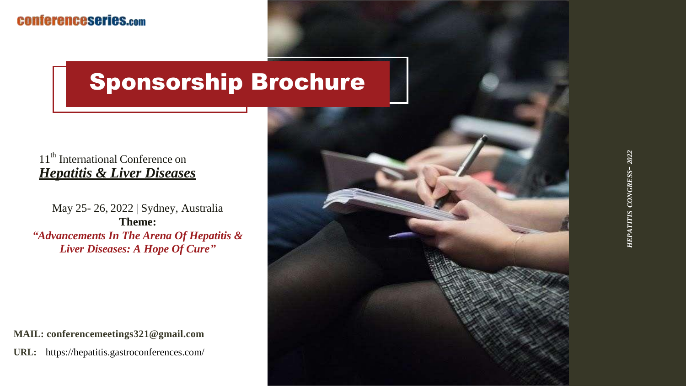## Sponsorship Brochure

#### 11<sup>th</sup> International Conference on *Hepatitis & Liver Diseases*

May 25- 26, 2022 | Sydney, Australia **Theme:** *"Advancements In The Arena Of Hepatitis & Liver Diseases: A Hope Of Cure"*

**MAIL: conferencemeetings321@gmail.com URL:** https://hepatitis.gastroconferences.com/

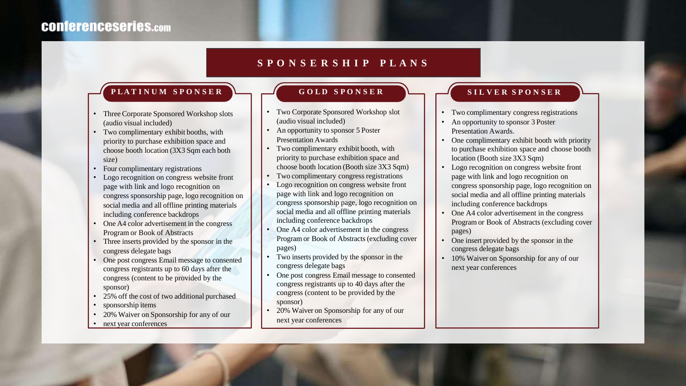#### **S P O N S E R S H I P P L A N S**

#### PLATINUM SPONSER GOLD SPONSER LUNER SPONSER

- Three Corporate Sponsored Workshop slots (audio visual included)
- Two complimentary exhibit booths, with priority to purchase exhibition space and choose booth location (3X3 Sqm each both size)
- Four complimentary registrations
- Logo recognition on congress website front page with link and logo recognition on congress sponsorship page, logo recognition on social media and all offline printing materials including conference backdrops
- One A4 color advertisement in the congress Program or Book of Abstracts
- Three inserts provided by the sponsor in the congress delegate bags
- One post congress Email message to consented congress registrants up to 60 days after the congress (content to be provided by the sponsor)
- 25% off the cost of two additional purchased
- sponsorship items
- 20% Waiver on Sponsorship for any of our
- next year conferences

- Two Corporate Sponsored Workshop slot (audio visual included)
- An opportunity to sponsor 5 Poster Presentation Awards
- Two complimentary exhibit booth, with priority to purchase exhibition space and choose booth location (Booth size 3X3 Sqm)
- Two complimentary congress registrations
- Logo recognition on congress website front page with link and logo recognition on congress sponsorship page, logo recognition on social media and all offline printing materials including conference backdrops
- One A4 color advertisement in the congress Programor Book of Abstracts(excluding cover pages)
- Two inserts provided by the sponsor in the congress delegate bags
- One post congress Email message to consented congress registrants up to 40 days after the congress (content to be provided by the sponsor)
- 20% Waiver on Sponsorship for any of our next year conferences

- Two complimentary congress registrations
- An opportunity to sponsor 3 Poster Presentation Awards.
- One complimentary exhibit booth with priority to purchase exhibition space and choose booth location (Booth size 3X3 Sqm)
- Logo recognition on congress website front page with link and logo recognition on congress sponsorship page, logo recognition on social media and all offline printing materials including conference backdrops
- One A4 color advertisement in the congress Programor Book of Abstracts(excluding cover pages)
- One insert provided by the sponsor in the congress delegate bags
- 10% Waiver on Sponsorship for any of our next year conferences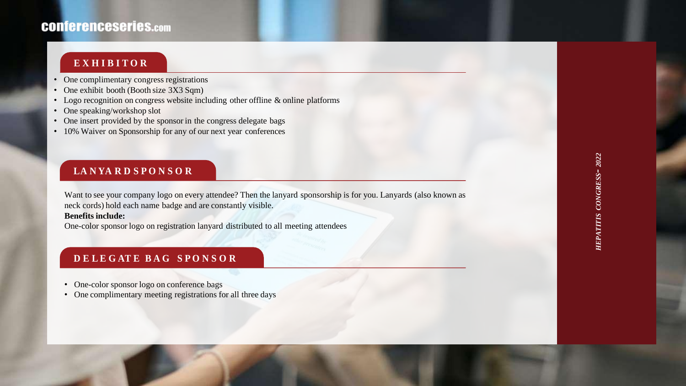### **CONferenceseries.com**

#### **E X H I B I T O R**

- One complimentary congress registrations
- One exhibit booth (Booth size 3X3 Sqm)
- Logo recognition on congress website including other offline & online platforms
- One speaking/workshop slot
- One insert provided by the sponsor in the congress delegate bags
- 10% Waiver on Sponsorship for any of our next year conferences

#### **LA N YA R D S P O N S O R**

Want to see your company logo on every attendee? Then the lanyard sponsorship is for you. Lanyards (also known as neck cords) hold each name badge and are constantly visible.

#### **Benefits include:**

One-color sponsor logo on registration lanyard distributed to all meeting attendees

#### **D E L E G AT E B A G S P O N S O R**

- One-color sponsor logo on conference bags
- One complimentary meeting registrations for all three days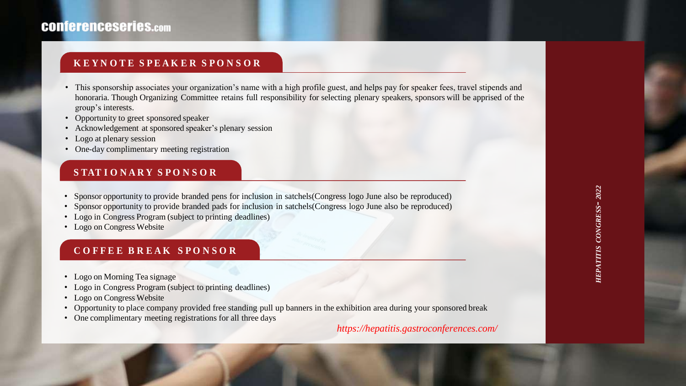#### **K E Y N O T E S P E A K E R S P O N S O R**

- This sponsorship associates your organization's name with a high profile guest, and helps pay for speaker fees, travel stipends and honoraria. Though Organizing Committee retains full responsibility for selecting plenary speakers, sponsors will be apprised of the group's interests.
- Opportunity to greet sponsored speaker
- Acknowledgement at sponsored speaker's plenary session
- Logo at plenary session
- One-day complimentary meeting registration

#### **S TAT I O N A R Y S P O N S O R**

- Sponsor opportunity to provide branded pens for inclusion in satchels(Congress logo June also be reproduced)
- Sponsor opportunity to provide branded pads for inclusion in satchels(Congress logo June also be reproduced)
- Logo in Congress Program (subject to printing deadlines)
- Logo on Congress Website

#### **C O F F E E B R E A K S P O N S O R**

- Logo on Morning Tea signage
- Logo in Congress Program (subject to printing deadlines)
- Logo on Congress Website
- Opportunity to place company provided free standing pull up banners in the exhibition area during your sponsored break
- One complimentary meeting registrations for all three days

*https://hepatitis.gastroconferences.com/*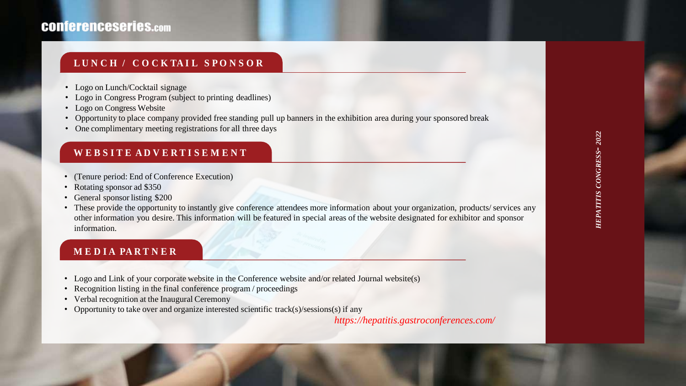#### **CONferenceseries.com**

#### **L U N C H / C O C K TA I L S P O N S O R**

- Logo on Lunch/Cocktail signage
- Logo in Congress Program (subject to printing deadlines)
- Logo on Congress Website
- Opportunity to place company provided free standing pull up banners in the exhibition area during your sponsored break
- One complimentary meeting registrations for all three days

#### **W E B S I T E A D V E R T I S E M E N T**

- (Tenure period: End of Conference Execution)
- Rotating sponsor ad \$350
- General sponsor listing \$200
- These provide the opportunity to instantly give conference attendees more information about your organization, products/ services any other information you desire. This information will be featured in special areas of the website designated for exhibitor and sponsor information.

#### **M E D I A PA R T N E R**

- Logo and Link of your corporate website in the Conference website and/or related Journal website(s)
- Recognition listing in the final conference program / proceedings
- Verbal recognition at the Inaugural Ceremony
- Opportunity to take over and organize interested scientific track(s)/sessions(s) if any

*https://hepatitis.gastroconferences.com/*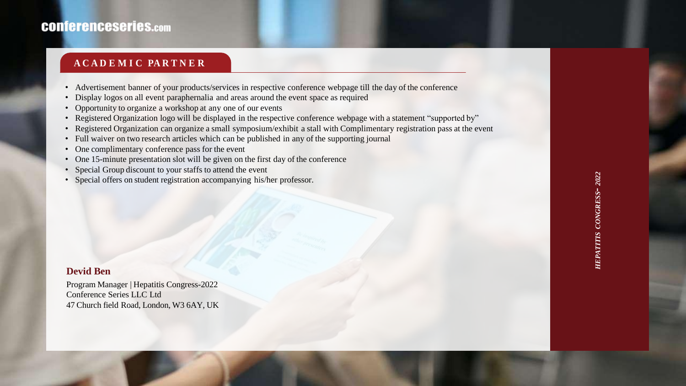# HEPATITIS CONGRESS- 2022 *HEPATITIS CONGRESS- 2022*

#### **CONferenceseries.com**

#### **A C A D E M I C PA R T N E R**

- Advertisement banner of your products/services in respective conference webpage till the day of the conference
- Display logos on all event paraphernalia and areas around the event space as required
- Opportunity to organize a workshop at any one of our events
- Registered Organization logo will be displayed in the respective conference webpage with a statement "supported by"
- Registered Organization can organize a small symposium/exhibit a stall with Complimentary registration pass at the event
- Full waiver on two research articles which can be published in any of the supporting journal
- One complimentary conference pass for the event
- One 15-minute presentation slot will be given on the first day of the conference
- Special Group discount to your staffs to attend the event
- Special offers on student registration accompanying his/her professor.

#### **Devid Ben**

Program Manager | Hepatitis Congress-2022 Conference Series LLC Ltd 47 Church field Road, London, W3 6AY, UK